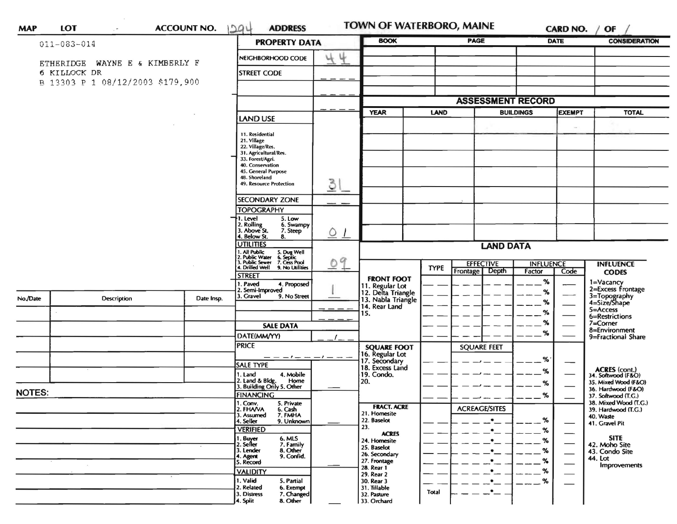|               | $011 - 083 - 014$                              | <b>PROPERTY DATA</b> | <b>BOOK</b>                                                                                       | <b>PAGE</b>       |                                                     |                  | <b>DATE</b>          | <b>CONSIDERATION</b>                         |                               |                               |                                           |
|---------------|------------------------------------------------|----------------------|---------------------------------------------------------------------------------------------------|-------------------|-----------------------------------------------------|------------------|----------------------|----------------------------------------------|-------------------------------|-------------------------------|-------------------------------------------|
|               |                                                |                      | NEIGHBORHOOD CODE                                                                                 | 44                |                                                     |                  |                      |                                              |                               |                               |                                           |
|               | ETHERIDGE WAYNE E & KIMBERLY F<br>6 KILLOCK DR |                      | <b>STREET CODE</b>                                                                                |                   |                                                     |                  |                      |                                              |                               |                               |                                           |
|               | B 13303 P 1 08/12/2003 \$179,900               |                      |                                                                                                   |                   |                                                     |                  |                      |                                              |                               |                               |                                           |
|               |                                                |                      |                                                                                                   |                   |                                                     |                  |                      |                                              |                               |                               |                                           |
|               |                                                |                      |                                                                                                   | <b>YEAR</b>       | <b>LAND</b>                                         |                  |                      | <b>ASSESSMENT RECORD</b><br><b>BUILDINGS</b> | <b>EXEMPT</b><br><b>TOTAL</b> |                               |                                           |
|               |                                                |                      | <b>LAND USE</b>                                                                                   |                   |                                                     |                  |                      |                                              |                               |                               |                                           |
|               |                                                |                      | 11. Residential                                                                                   |                   |                                                     |                  |                      |                                              |                               | $\sim$                        |                                           |
|               |                                                |                      | 21. Village<br>22. Village/Res.                                                                   |                   |                                                     |                  |                      |                                              |                               |                               |                                           |
|               |                                                |                      | 31. Agricultural/Res.<br>33. Forest/Agri.                                                         |                   |                                                     |                  |                      |                                              |                               |                               |                                           |
|               |                                                |                      | 40. Conservation<br>45. General Purpose                                                           |                   |                                                     |                  |                      |                                              |                               |                               |                                           |
|               |                                                |                      | 48. Shoreland                                                                                     |                   |                                                     |                  |                      |                                              |                               |                               |                                           |
|               |                                                |                      | 49. Resource Protection                                                                           | 31                |                                                     |                  |                      |                                              |                               |                               |                                           |
|               |                                                |                      | <b>SECONDARY ZONE</b>                                                                             |                   |                                                     |                  |                      |                                              |                               |                               |                                           |
|               |                                                |                      | <b>TOPOGRAPHY</b><br>1. Level<br>5. Low                                                           |                   |                                                     |                  |                      |                                              |                               |                               |                                           |
|               |                                                |                      | 2. Rolling<br>3. Above St.<br>6. Swampy<br>7. Steep                                               |                   |                                                     |                  |                      |                                              |                               |                               |                                           |
|               |                                                |                      | 4. Below St.<br>8.                                                                                | $Q_1$             |                                                     |                  |                      |                                              |                               |                               |                                           |
|               |                                                |                      | <b>UTILITIES</b><br>1. All Public                                                                 | <b>LAND DATA</b>  |                                                     |                  |                      |                                              |                               |                               |                                           |
|               |                                                |                      | 5. Dug Well<br>6. Septic<br>7. Cess Pool<br>9. No Utilities<br>2. Public Water<br>3. Public Sewer | 9<br>O            |                                                     | <b>EFFECTIVE</b> |                      |                                              | <b>INFLUENCE</b>              |                               | <b>INFLUENCE</b>                          |
|               |                                                |                      | 4. Drilled Well<br><b>STREET</b>                                                                  |                   |                                                     | <b>TYPE</b>      | Frontage             | Depth                                        | Factor                        | Code                          | <b>CODES</b>                              |
|               |                                                |                      | 4. Proposed<br>I. Paved<br>2. Semi-Improved                                                       |                   | <b>FRONT FOOT</b><br>11. Regular Lot                |                  |                      |                                              | %                             |                               | 1=Vacancy<br>2=Excess Frontage            |
| No./Date      | Description                                    | Date Insp.           | 3. Gravel<br>9. No Street                                                                         |                   | 12. Delta Triangle<br>13. Nabla Triangle            |                  |                      |                                              | %<br>℅                        |                               | 3=Topography<br>4=Size/Shape              |
|               |                                                |                      |                                                                                                   |                   | 14. Rear Land<br>15.                                |                  |                      |                                              | $\%$                          |                               | 5=Access                                  |
|               |                                                |                      | <b>SALE DATA</b>                                                                                  |                   |                                                     |                  |                      |                                              | %                             |                               | 6=Restrictions<br>7=Corner                |
|               |                                                |                      | DATE(MM/YY)                                                                                       |                   |                                                     |                  |                      |                                              | %                             |                               | 8=Environment<br>9=Fractional Share       |
|               |                                                |                      | <b>PRICE</b>                                                                                      |                   | <b>SQUARE FOOT</b>                                  |                  | <b>SQUARE FEET</b>   |                                              |                               |                               |                                           |
|               |                                                |                      |                                                                                                   | $-1$ $  -1$ $  -$ |                                                     |                  |                      |                                              | %                             |                               |                                           |
|               |                                                |                      | <b>SALE TYPE</b>                                                                                  |                   | 16. Regular Lot<br>17. Secondary<br>18. Excess Land |                  |                      |                                              | %                             |                               | ACRES (cont.)<br>34. Softwood (F&O)       |
|               |                                                |                      | 4. Mobile<br>1. Land<br>2. Land & Bldg. Home<br>3. Building Only 5. Other<br>Home                 |                   | 19. Condo.<br>20.                                   |                  |                      |                                              | %                             |                               | 35. Mixed Wood (F&O)                      |
| <b>NOTES:</b> |                                                |                      | FINANCING                                                                                         |                   |                                                     |                  |                      |                                              | %                             |                               | 36. Hardwood (F&O)<br>37. Softwood (T.G.) |
|               |                                                |                      | 1. Conv.<br>5. Private                                                                            |                   | <b>FRACT. ACRE</b>                                  |                  |                      |                                              |                               |                               | 38. Mixed Wood (T.G.)                     |
|               |                                                |                      | 2. FHAVA<br>6. Cash<br>7. FMHA<br>3. Assumed                                                      |                   | 21. Homesite                                        |                  | <b>ACREAGE/SITES</b> | ٠                                            |                               |                               | 39. Hardwood (T.G.)<br>40. Waste          |
|               |                                                |                      | 4. Seller<br>9. Unknown<br><b>VERIFIED</b>                                                        |                   | 22. Baselot<br>23.                                  |                  |                      |                                              | %<br>$\%$                     |                               | 41. Gravel Pit                            |
|               |                                                |                      | 1. Buyer<br>2. Seller                                                                             |                   | <b>ACRES</b><br>24. Homesite                        |                  |                      |                                              | %                             |                               | <b>SITE</b>                               |
|               |                                                |                      | 6. MLS<br>7. Family<br>8. Other<br>3. Lender                                                      |                   | 25. Baselot<br>26. Secondary                        |                  |                      |                                              | %                             | $\overbrace{\phantom{aaaaa}}$ | 42. Moho Site<br>43. Condo Site           |
|               |                                                |                      | 9. Confid.<br>4. Agent<br>5. Record                                                               |                   | 27. Frontage                                        |                  |                      |                                              | ℁                             |                               | 44. Lot<br>Improvements                   |
|               |                                                |                      | <b>VALIDITY</b>                                                                                   |                   | 28. Rear 1<br>29. Rear 2                            |                  |                      |                                              | %                             |                               |                                           |
|               |                                                |                      | 1. Valid<br>5. Partial<br>2. Related<br>6. Exempt                                                 |                   | 30. Rear 3<br>31. Tillable                          |                  |                      |                                              | $\%$                          |                               |                                           |
|               |                                                |                      | 3. Distress<br>7. Changed                                                                         |                   | 32. Pasture                                         | Total            |                      |                                              |                               |                               |                                           |